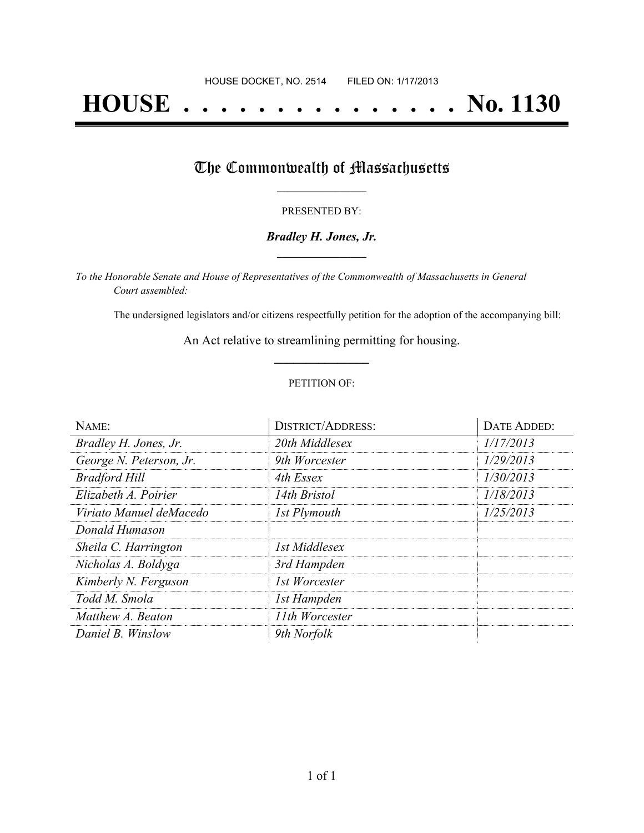# **HOUSE . . . . . . . . . . . . . . . No. 1130**

## The Commonwealth of Massachusetts

#### PRESENTED BY:

#### *Bradley H. Jones, Jr.* **\_\_\_\_\_\_\_\_\_\_\_\_\_\_\_\_\_**

*To the Honorable Senate and House of Representatives of the Commonwealth of Massachusetts in General Court assembled:*

The undersigned legislators and/or citizens respectfully petition for the adoption of the accompanying bill:

An Act relative to streamlining permitting for housing. **\_\_\_\_\_\_\_\_\_\_\_\_\_\_\_**

#### PETITION OF:

| NAME:                   | <b>DISTRICT/ADDRESS:</b> | DATE ADDED: |
|-------------------------|--------------------------|-------------|
| Bradley H. Jones, Jr.   | 20th Middlesex           | 1/17/2013   |
| George N. Peterson, Jr. | 9th Worcester            | 1/29/2013   |
| <b>Bradford Hill</b>    | 4th Essex                | 1/30/2013   |
| Elizabeth A. Poirier    | 14th Bristol             | 1/18/2013   |
| Viriato Manuel deMacedo | 1st Plymouth             | 1/25/2013   |
| Donald Humason          |                          |             |
| Sheila C. Harrington    | 1st Middlesex            |             |
| Nicholas A. Boldyga     | 3rd Hampden              |             |
| Kimberly N. Ferguson    | 1st Worcester            |             |
| Todd M. Smola           | 1st Hampden              |             |
| Matthew A. Beaton       | 11th Worcester           |             |
| Daniel B. Winslow       | 9th Norfolk              |             |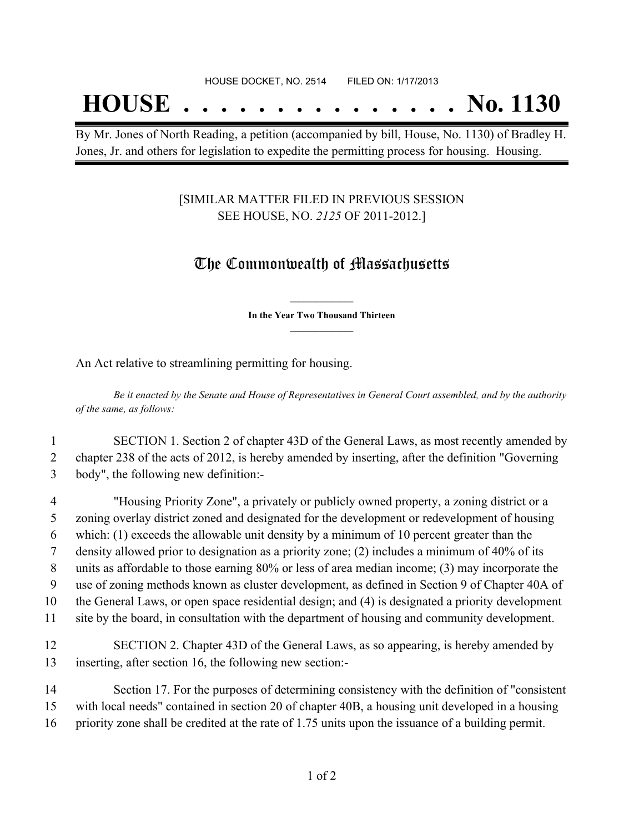## **HOUSE . . . . . . . . . . . . . . . No. 1130**

By Mr. Jones of North Reading, a petition (accompanied by bill, House, No. 1130) of Bradley H. Jones, Jr. and others for legislation to expedite the permitting process for housing. Housing.

#### [SIMILAR MATTER FILED IN PREVIOUS SESSION SEE HOUSE, NO. *2125* OF 2011-2012.]

### The Commonwealth of Massachusetts

**\_\_\_\_\_\_\_\_\_\_\_\_\_\_\_ In the Year Two Thousand Thirteen \_\_\_\_\_\_\_\_\_\_\_\_\_\_\_**

An Act relative to streamlining permitting for housing.

Be it enacted by the Senate and House of Representatives in General Court assembled, and by the authority *of the same, as follows:*

1 SECTION 1. Section 2 of chapter 43D of the General Laws, as most recently amended by 2 chapter 238 of the acts of 2012, is hereby amended by inserting, after the definition "Governing 3 body", the following new definition:-

 "Housing Priority Zone", a privately or publicly owned property, a zoning district or a zoning overlay district zoned and designated for the development or redevelopment of housing which: (1) exceeds the allowable unit density by a minimum of 10 percent greater than the density allowed prior to designation as a priority zone; (2) includes a minimum of 40% of its units as affordable to those earning 80% or less of area median income; (3) may incorporate the use of zoning methods known as cluster development, as defined in Section 9 of Chapter 40A of the General Laws, or open space residential design; and (4) is designated a priority development site by the board, in consultation with the department of housing and community development.

12 SECTION 2. Chapter 43D of the General Laws, as so appearing, is hereby amended by 13 inserting, after section 16, the following new section:-

14 Section 17. For the purposes of determining consistency with the definition of "consistent 15 with local needs" contained in section 20 of chapter 40B, a housing unit developed in a housing 16 priority zone shall be credited at the rate of 1.75 units upon the issuance of a building permit.